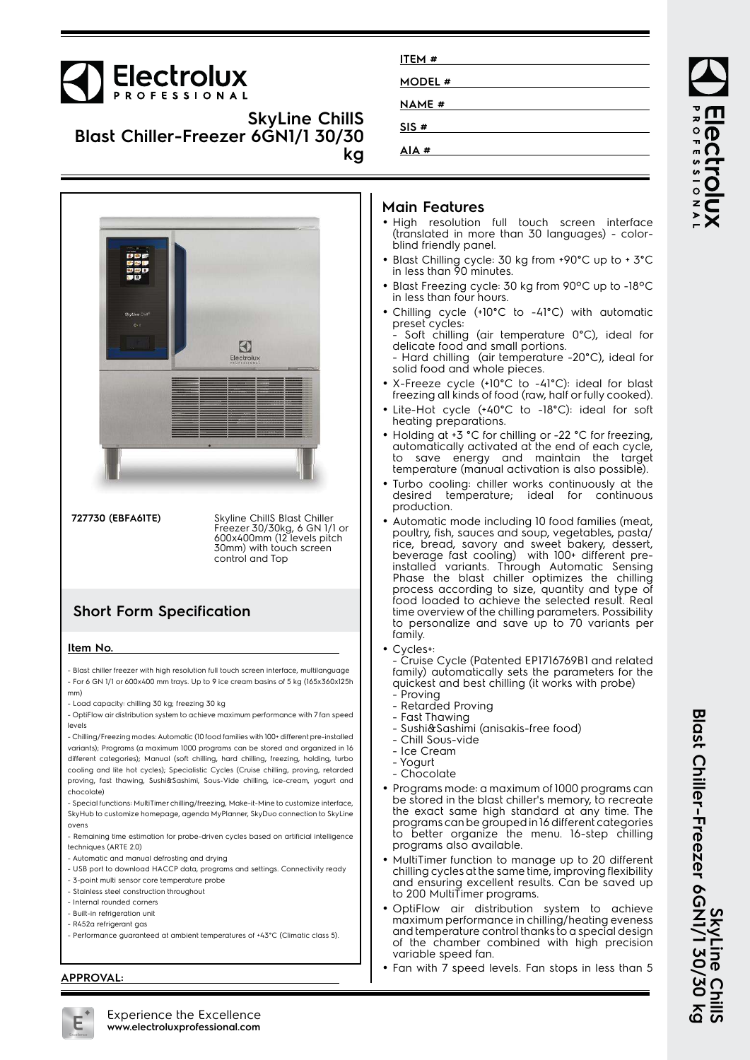# Electrolux

### **SkyLine ChillS Blast Chiller-Freezer 6GN1/1 30/30 kg**



**727730 (EBFA61TE)** Skyline ChillS Blast Chiller

Freezer 30/30kg, 6 GN 1/1 or 600x400mm (12 levels pitch 30mm) with touch screen control and Top

# **Short Form Specification**

#### **Item No.**

- Blast chiller freezer with high resolution full touch screen interface, multilanguage - For 6 GN 1/1 or 600x400 mm trays. Up to 9 ice cream basins of 5 kg (165x360x125h mm)

- Load capacity: chilling 30 kg; freezing 30 kg
- OptiFlow air distribution system to achieve maximum performance with 7 fan speed levels
- Chilling/Freezing modes: Automatic (10 food families with 100+ different pre-installed variants); Programs (a maximum 1000 programs can be stored and organized in 16 different categories); Manual (soft chilling, hard chilling, freezing, holding, turbo cooling and lite hot cycles); Specialistic Cycles (Cruise chilling, proving, retarded proving, fast thawing, Sushi&Sashimi, Sous-Vide chilling, ice-cream, yogurt and chocolate)

- Special functions: MultiTimer chilling/freezing, Make-it-Mine to customize interface, SkyHub to customize homepage, agenda MyPlanner, SkyDuo connection to SkyLine ovens

- Remaining time estimation for probe-driven cycles based on artificial intelligence techniques (ARTE 2.0)
- Automatic and manual defrosting and drying
- USB port to download HACCP data, programs and settings. Connectivity ready
- 3-point multi sensor core temperature probe
- Stainless steel construction throughout
- Internal rounded corners
- Built-in refrigeration unit
- R452a refrigerant gas
- Performance guaranteed at ambient temperatures of +43°C (Climatic class 5).

#### **APPROVAL:**

| ITEM#        |  |
|--------------|--|
| MODEL #      |  |
| <b>NAME#</b> |  |
| SIS#         |  |
| AIA#         |  |

#### **Main Features**

- High resolution full touch screen interface (translated in more than 30 languages) - colorblind friendly panel.
- Blast Chilling cycle: 30 kg from +90°C up to + 3°C in less than 90 minutes.
- Blast Freezing cycle: 30 kg from 90ºC up to -18ºC in less than four hours.
- Chilling cycle (+10°C to -41°C) with automatic preset cycles: Soft chilling (air temperature 0°C), ideal for
- delicate food and small portions. - Hard chilling (air temperature -20°C), ideal for solid food and whole pieces.
- X-Freeze cycle (+10°C to -41°C): ideal for blast freezing all kinds of food (raw, half or fully cooked).
- • Lite-Hot cycle (+40°C to -18°C): ideal for soft heating preparations.
- Holding at +3 °C for chilling or -22 °C for freezing, automatically activated at the end of each cycle, to save energy and maintain the target temperature (manual activation is also possible).
- • Turbo cooling: chiller works continuously at the desired temperature; ideal for continuous production.
- • Automatic mode including 10 food families (meat, poultry, fish, sauces and soup, vegetables, pasta/ rice, bread, savory and sweet bakery, dessert, beverage fast cooling) with 100+ different preinstalled variants. Through Automatic Sensing Phase the blast chiller optimizes the chilling process according to size, quantity and type of food loaded to achieve the selected result. Real time overview of the chilling parameters. Possibility to personalize and save up to 70 variants per family.
- •Cycles+:

- Cruise Cycle (Patented EP1716769B1 and related family) automatically sets the parameters for the quickest and best chilling (it works with probe)

- Proving
- Retarded Proving
- Fast Thawing - Sushi&Sashimi (anisakis-free food)
- Chill Sous-vide
- 
- Ice Cream - Yogurt
- Chocolate
- Programs mode: a maximum of 1000 programs can be stored in the blast chiller's memory, to recreate the exact same high standard at any time. The programs can be grouped in 16 different categories to better organize the menu. 16-step chilling programs also available.
- MultiTimer function to manage up to 20 different chilling cycles at the same time, improving flexibility and ensuring excellent results. Can be saved up to 200 MultiTimer programs.
- OptiFlow air distribution system to achieve maximum performance in chilling/heating eveness and temperature control thanks to a special design of the chamber combined with high precision variable speed fan.
- Fan with 7 speed levels. Fan stops in less than 5

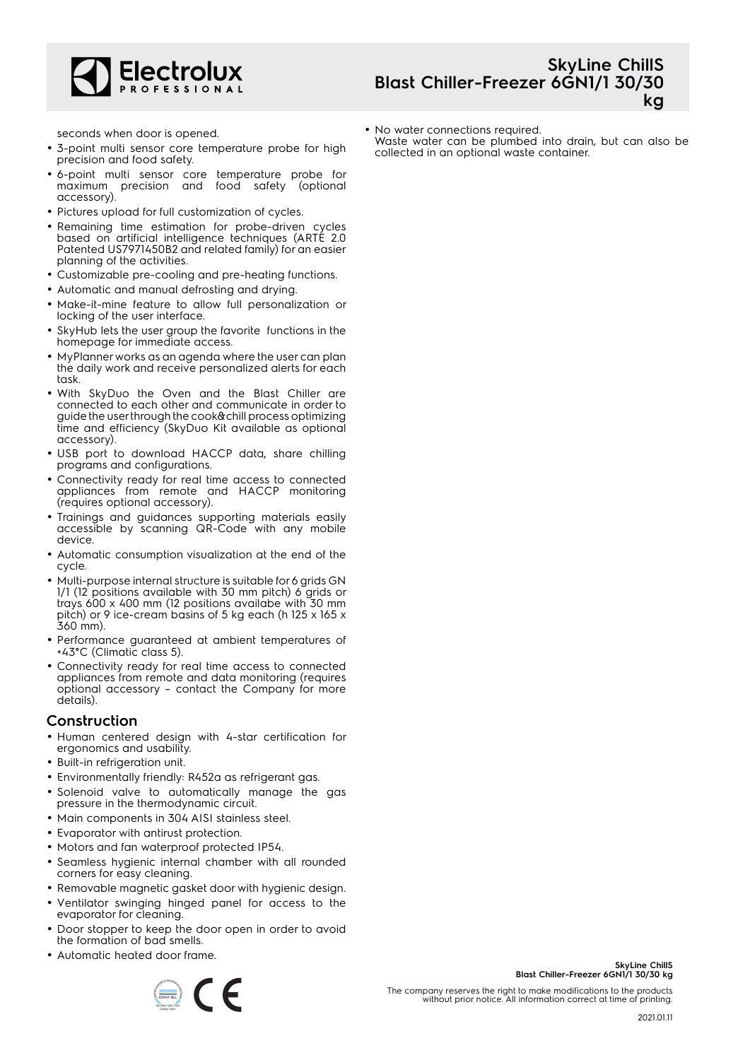

# **SkyLine ChillS Blast Chiller-Freezer 6GN1/1 30/30 kg**

seconds when door is opened.

- 3-point multi sensor core temperature probe for high precision and food safety.
- 6-point multi sensor core temperature probe for maximum precision and food safety (optional accessory).
- Pictures upload for full customization of cycles.
- Remaining time estimation for probe-driven cycles based on artificial intelligence techniques (ARTE 2.0 Patented US7971450B2 and related family) for an easier planning of the activities.
- Customizable pre-cooling and pre-heating functions.
- Automatic and manual defrosting and drying.
- Make-it-mine feature to allow full personalization or locking of the user interface.
- SkyHub lets the user group the favorite functions in the homepage for immediate access.
- MyPlanner works as an agenda where the user can plan the daily work and receive personalized alerts for each task.
- With SkyDuo the Oven and the Blast Chiller are connected to each other and communicate in order to guide the user through the cook&chill process optimizing time and efficiency (SkyDuo Kit available as optional accessory).
- USB port to download HACCP data, share chilling programs and configurations.
- Connectivity ready for real time access to connected appliances from remote and HACCP monitoring (requires optional accessory).
- Trainings and guidances supporting materials easily accessible by scanning QR-Code with any mobile device.
- Automatic consumption visualization at the end of the cycle.
- Multi-purpose internal structure is suitable for 6 grids GN 1/1 (12 positions available with 30 mm pitch) 6 grids or trays 600 x 400 mm (12 positions availabe with 30 mm pitch) or 9 ice-cream basins of 5 kg each (h 125 x 165 x 360 mm).
- Performance guaranteed at ambient temperatures of +43°C (Climatic class 5).
- Connectivity ready for real time access to connected appliances from remote and data monitoring (requires optional accessory – contact the Company for more details).

### **Construction**

- Human centered design with 4-star certification for ergonomics and usability.
- Built-in refrigeration unit.
- Environmentally friendly: R452a as refrigerant gas.
- Solenoid valve to automatically manage the gas pressure in the thermodynamic circuit.
- Main components in 304 AISI stainless steel.
- Evaporator with antirust protection.
- Motors and fan waterproof protected IP54.
- Seamless hygienic internal chamber with all rounded corners for easy cleaning.
- Removable magnetic gasket door with hygienic design.
- Ventilator swinging hinged panel for access to the evaporator for cleaning.
- • Door stopper to keep the door open in order to avoid the formation of bad smells.
- Automatic heated door frame.



**SkyLine ChillS**

**Blast Chiller-Freezer 6GN1/1 30/30 kg**

The company reserves the right to make modifications to the products without prior notice. All information correct at time of printing.

Waste water can be plumbed into drain, but can also be collected in an optional waste container.

• No water connections required.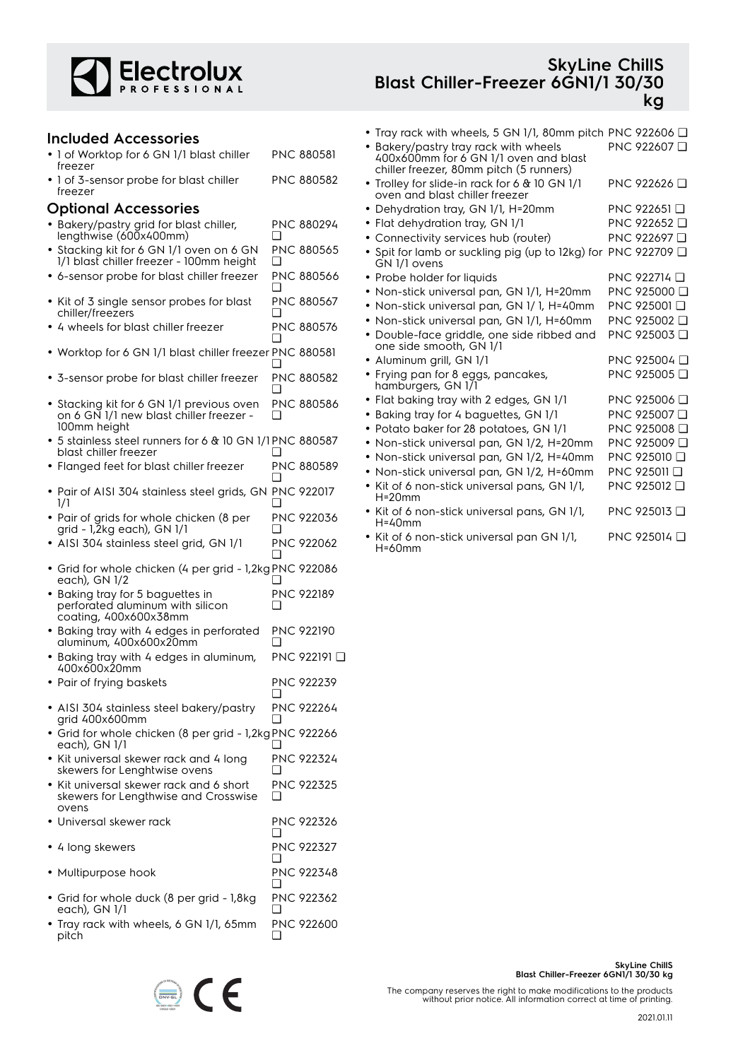

#### **Included Accessories**

#### • 1 of Worktop for 6 GN 1/1 blast chiller freezer PNC 880581

| • 1 of 3-sensor probe for blast chiller | <b>PNC 880582</b> |
|-----------------------------------------|-------------------|
| freezer                                 |                   |

#### **Optional Accessories**

- Bakery/pastry grid for blast chiller, lengthwise (600x400mm) PNC 880294 ❑
- • Stacking kit for 6 GN 1/1 oven on 6 GN 1/1 blast chiller freezer - 100mm height PNC 880565  $\Box$
- 6-sensor probe for blast chiller freezer PNC 880566  $\Box$
- Kit of 3 single sensor probes for blast chiller/freezers PNC 880567 ❑
- 4 wheels for blast chiller freezer PNC 880576 ❑
- Worktop for 6 GN 1/1 blast chiller freezer PNC 880581  $\Box$
- 3-sensor probe for blast chiller freezer PNC 880582  $\Box$
- Stacking kit for 6 GN 1/1 previous oven on 6 GN 1/1 new blast chiller freezer - 100mm height PNC 880586  $\Box$
- 5 stainless steel runners for 6 & 10 GN 1/1 PNC 880587 blast chiller freezer  $\Box$
- Flanged feet for blast chiller freezer PNC 880589  $\Box$
- Pair of AISI 304 stainless steel grids, GN PNC 922017 1/1  $\Box$
- Pair of grids for whole chicken (8 per grid - 1,2kg each), GN 1/1 PNC 922036 ❑
- AISI 304 stainless steel grid, GN 1/1 PNC 922062 ❑
- Grid for whole chicken (4 per grid 1,2kg PNC 922086 each), GN 1/2 ❑
- Baking tray for 5 baguettes in perforated aluminum with silicon coating, 400x600x38mm PNC 922189 ❑
- Baking tray with 4 edges in perforated aluminum, 400x600x20mm PNC 922190 ❑
- Baking tray with 4 edges in aluminum, 400x600x20mm PNC 922191 ❑
- Pair of frying baskets PNC 922239  $\Box$ • AISI 304 stainless steel bakery/pastry PNC 922264
- grid 400x600mm ❑ • Grid for whole chicken (8 per grid - 1,2kg PNC 922266 each), GN 1/1 ❑
- Kit universal skewer rack and 4 long skewers for Lenghtwise ovens PNC 922324  $\Box$ PNC 922325
- Kit universal skewer rack and 6 short skewers for Lengthwise and Crosswise ovens  $\Box$
- Universal skewer rack PNC 922326 ❑ • 4 long skewers PNC 922327  $\Box$ • Multipurpose hook PNC 922348  $\Box$
- Grid for whole duck (8 per grid 1,8kg each), GN 1/1 PNC 922362 ❑
- Tray rack with wheels, 6 GN 1/1, 65mm pitch PNC 922600  $\Box$

### **SkyLine ChillS Blast Chiller-Freezer 6GN1/1 30/30 kg**

- Tray rack with wheels, 5 GN 1/1, 80mm pitch PNC 922606 ❑ • Bakery/pastry tray rack with wheels 400x600mm for 6 GN 1/1 oven and blast chiller freezer, 80mm pitch (5 runners) PNC 922607 ❑ • Trolley for slide-in rack for 6 & 10 GN 1/1 oven and blast chiller freezer PNC 922626 ❑ • Dehydration tray, GN 1/1, H=20mm PNC 922651 ❑ • Flat dehydration tray, GN 1/1 PNC 922652 ❑ • Connectivity services hub (router) PNC 922697 ❑ •● Spit for lamb or suckling pig (up to 12kg) for PNC 922709 □ GN 1/1 ovens • Probe holder for liquids PNC 922714 ❑ • Non-stick universal pan, GN 1/1, H=20mm PNC 925000 ❑ • Non-stick universal pan, GN 1/ 1, H=40mm PNC 925001 ❑ • Non-stick universal pan, GN 1/1, H=60mm PNC 925002 ❑ • Double-face griddle, one side ribbed and one side smooth, GN 1/1 PNC 925003 ❑ • Aluminum grill, GN 1/1 PNC 925004 Q • Frying pan for 8 eggs, pancakes, hamburgers, GN 1/1 PNC 925005 ❑ • Flat baking tray with 2 edges, GN 1/1 PNC 925006 ❑ • Baking tray for 4 baguettes, GN 1/1 PNC 925007 ❑ • Potato baker for 28 potatoes, GN 1/1 PNC 925008 ❑ • Non-stick universal pan, GN 1/2, H=20mm PNC 925009 ❑ • Non-stick universal pan, GN 1/2, H=40mm PNC 925010 ❑ • Non-stick universal pan, GN 1/2, H=60mm PNC 925011 ❑ • Kit of 6 non-stick universal pans, GN 1/1, H=20mm PNC 925012 ❑ • Kit of 6 non-stick universal pans, GN 1/1, H=40mm PNC 925013 ❑ PNC 925014 ❑
- Kit of 6 non-stick universal pan GN 1/1, H=60mm